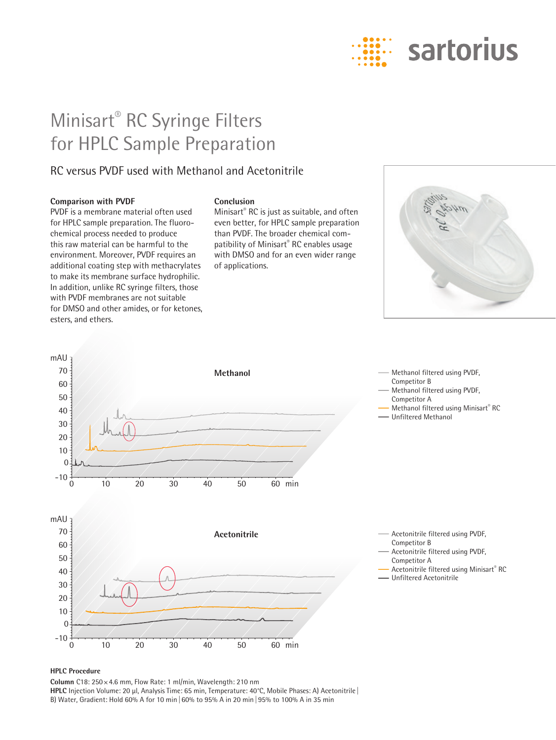

# Minisart® RC Syringe Filters for HPLC Sample Preparation

### RC versus PVDF used with Methanol and Acetonitrile

#### **Comparison with PVDF**

PVDF is a membrane material often used for HPLC sample preparation. The fluorochemical process needed to produce this raw material can be harmful to the environment. Moreover, PVDF requires an additional coating step with methacrylates to make its membrane surface hydrophilic. In addition, unlike RC syringe filters, those with PVDF membranes are not suitable for DMSO and other amides, or for ketones, esters, and ethers.

#### **Conclusion**

Minisart® RC is just as suitable, and often even better, for HPLC sample preparation than PVDF. The broader chemical compatibility of Minisart® RC enables usage with DMSO and for an even wider range of applications.





#### **HPLC Procedure**

**Column** C18: 250×4.6 mm, Flow Rate: 1 ml/min, Wavelength: 210 nm **HPLC** Injection Volume: 20 µl, Analysis Time: 65 min, Temperature: 40°C, Mobile Phases: A) Acetonitrile | B) Water, Gradient: Hold 60% A for 10 min|60% to 95% A in 20 min|95% to 100% A in 35 min